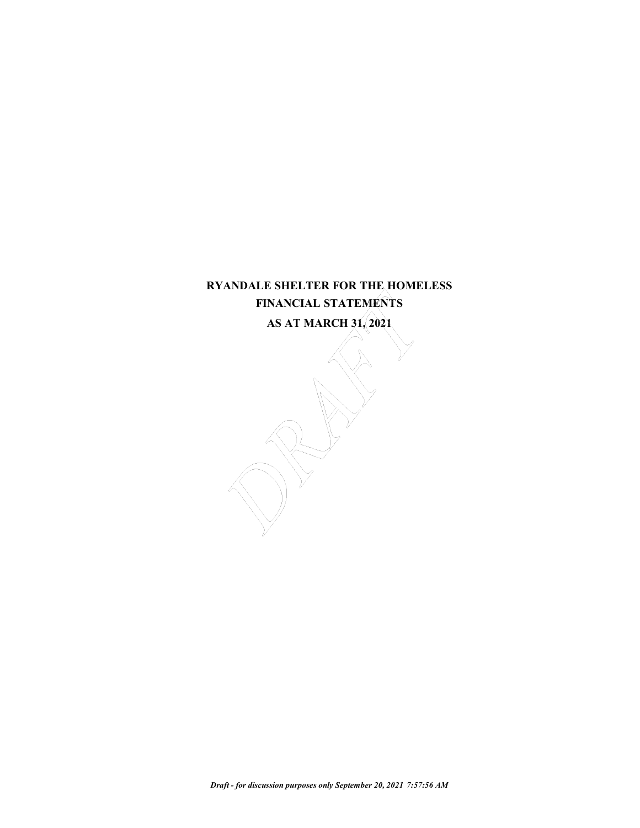# **RYANDALE SHELTER FOR THE HOMELESS FINANCIAL STATEMENTS AS AT MARCH 31, 2021**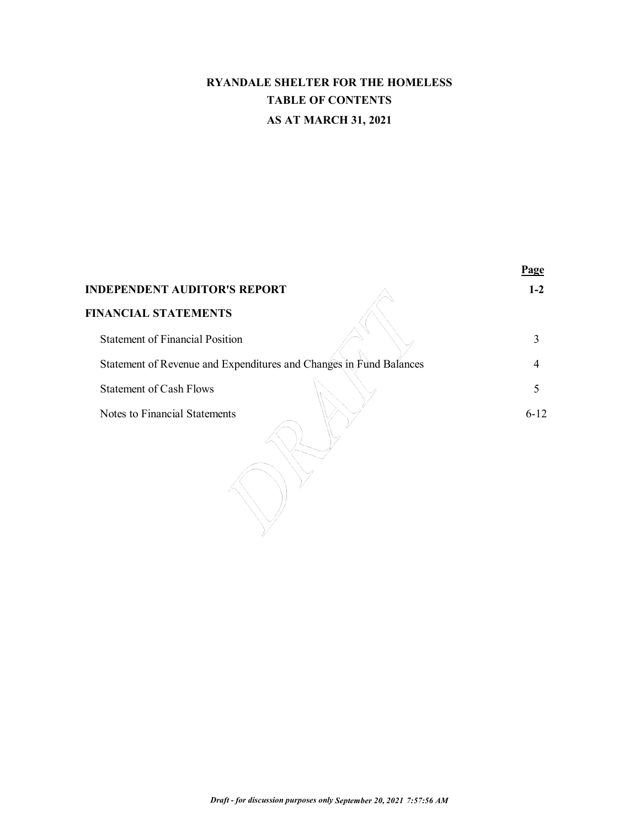# **RYANDALE SHELTER FOR THE HOMELESS TABLE OF CONTENTS AS AT MARCH 31, 2021**

|                                                                    | Page     |
|--------------------------------------------------------------------|----------|
| <b>INDEPENDENT AUDITOR'S REPORT</b>                                | $1-2$    |
| <b>FINANCIAL STATEMENTS</b>                                        |          |
| <b>Statement of Financial Position</b>                             | 3        |
| Statement of Revenue and Expenditures and Changes in Fund Balances | 4        |
| <b>Statement of Cash Flows</b>                                     | 5        |
| Notes to Financial Statements                                      | $6 - 12$ |
|                                                                    |          |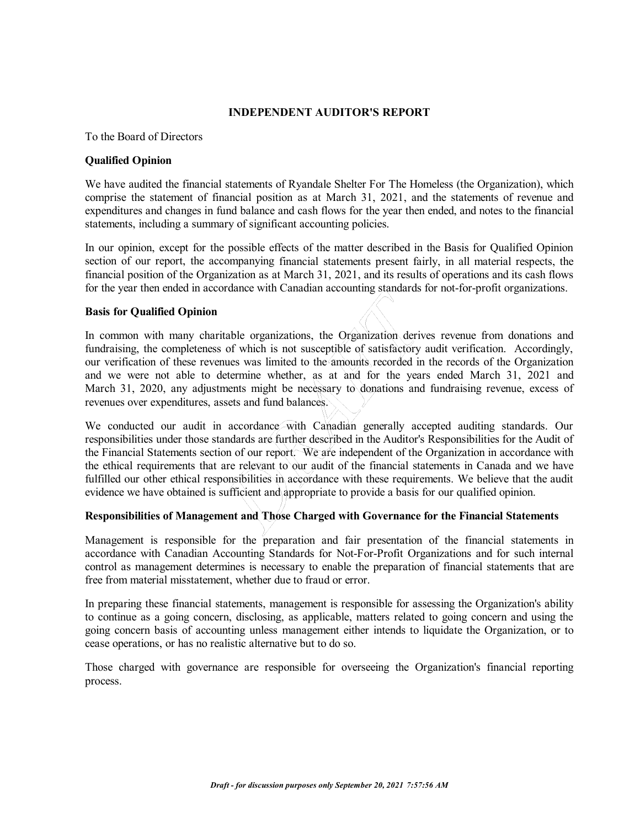# **INDEPENDENT AUDITOR'S REPORT**

#### To the Board of Directors

#### **Qualified Opinion**

We have audited the financial statements of Ryandale Shelter For The Homeless (the Organization), which comprise the statement of financial position as at March 31, 2021, and the statements of revenue and expenditures and changes in fund balance and cash flows for the year then ended, and notes to the financial statements, including a summary of significant accounting policies.

In our opinion, except for the possible effects of the matter described in the Basis for Qualified Opinion section of our report, the accompanying financial statements present fairly, in all material respects, the financial position of the Organization as at March 31, 2021, and its results of operations and its cash flows for the year then ended in accordance with Canadian accounting standards for not-for-profit organizations.

### **Basis for Qualified Opinion**

In common with many charitable organizations, the Organization derives revenue from donations and fundraising, the completeness of which is not susceptible of satisfactory audit verification. Accordingly, our verification of these revenues was limited to the amounts recorded in the records of the Organization and we were not able to determine whether, as at and for the years ended March 31, 2021 and March 31, 2020, any adjustments might be necessary to donations and fundraising revenue, excess of revenues over expenditures, assets and fund balances.

We conducted our audit in accordance with Canadian generally accepted auditing standards. Our responsibilities under those standards are further described in the Auditor's Responsibilities for the Audit of the Financial Statements section of our report. We are independent of the Organization in accordance with the ethical requirements that are relevant to our audit of the financial statements in Canada and we have fulfilled our other ethical responsibilities in accordance with these requirements. We believe that the audit evidence we have obtained is sufficient and appropriate to provide a basis for our qualified opinion.

# **Responsibilities of Management and Those Charged with Governance for the Financial Statements**

Management is responsible for the preparation and fair presentation of the financial statements in accordance with Canadian Accounting Standards for Not-For-Profit Organizations and for such internal control as management determines is necessary to enable the preparation of financial statements that are free from material misstatement, whether due to fraud or error.

In preparing these financial statements, management is responsible for assessing the Organization's ability to continue as a going concern, disclosing, as applicable, matters related to going concern and using the going concern basis of accounting unless management either intends to liquidate the Organization, or to cease operations, or has no realistic alternative but to do so.

Those charged with governance are responsible for overseeing the Organization's financial reporting process.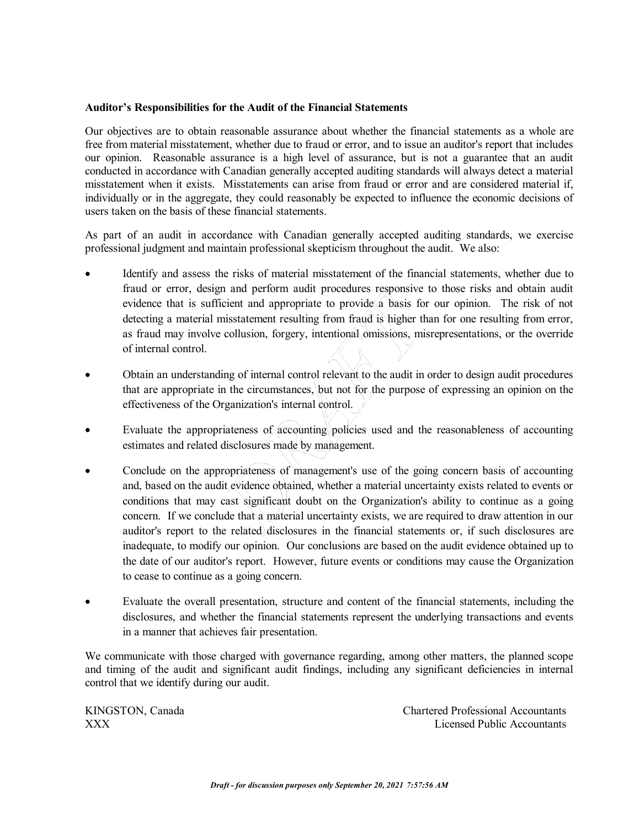### **Auditor's Responsibilities for the Audit of the Financial Statements**

Our objectives are to obtain reasonable assurance about whether the financial statements as a whole are free from material misstatement, whether due to fraud or error, and to issue an auditor's report that includes our opinion. Reasonable assurance is a high level of assurance, but is not a guarantee that an audit conducted in accordance with Canadian generally accepted auditing standards will always detect a material misstatement when it exists. Misstatements can arise from fraud or error and are considered material if, individually or in the aggregate, they could reasonably be expected to influence the economic decisions of users taken on the basis of these financial statements.

As part of an audit in accordance with Canadian generally accepted auditing standards, we exercise professional judgment and maintain professional skepticism throughout the audit. We also:

- Identify and assess the risks of material misstatement of the financial statements, whether due to fraud or error, design and perform audit procedures responsive to those risks and obtain audit evidence that is sufficient and appropriate to provide a basis for our opinion. The risk of not detecting a material misstatement resulting from fraud is higher than for one resulting from error, as fraud may involve collusion, forgery, intentional omissions, misrepresentations, or the override of internal control.
- · Obtain an understanding of internal control relevant to the audit in order to design audit procedures that are appropriate in the circumstances, but not for the purpose of expressing an opinion on the effectiveness of the Organization's internal control.
- Evaluate the appropriateness of  $\alpha$  counting policies used and the reasonableness of accounting estimates and related disclosures made by management.
- Conclude on the appropriateness of management's use of the going concern basis of accounting and, based on the audit evidence obtained, whether a material uncertainty exists related to events or conditions that may cast significant doubt on the Organization's ability to continue as a going concern. If we conclude that a material uncertainty exists, we are required to draw attention in our auditor's report to the related disclosures in the financial statements or, if such disclosures are inadequate, to modify our opinion. Our conclusions are based on the audit evidence obtained up to the date of our auditor's report. However, future events or conditions may cause the Organization to cease to continue as a going concern.
- · Evaluate the overall presentation, structure and content of the financial statements, including the disclosures, and whether the financial statements represent the underlying transactions and events in a manner that achieves fair presentation.

We communicate with those charged with governance regarding, among other matters, the planned scope and timing of the audit and significant audit findings, including any significant deficiencies in internal control that we identify during our audit.

KINGSTON, Canada Chartered Professional Accountants XXX Licensed Public Accountants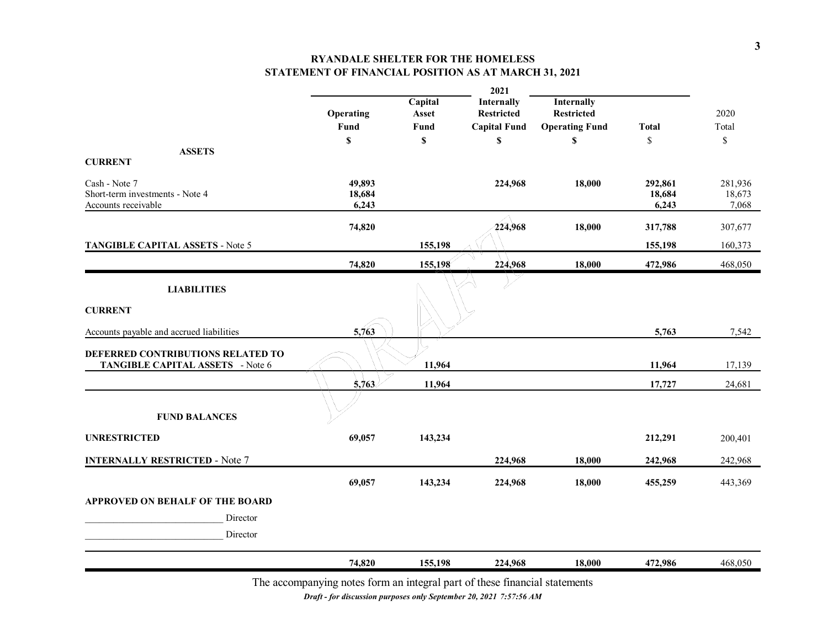# **RYANDALE SHELTER FOR THE HOMELESS STATEMENT OF FINANCIAL POSITION AS AT MARCH 31, 2021**

|                                          |                           |         | 2021                |                           |              |              |
|------------------------------------------|---------------------------|---------|---------------------|---------------------------|--------------|--------------|
|                                          |                           | Capital | Internally          | Internally                |              |              |
|                                          | Operating                 | Asset   | <b>Restricted</b>   | <b>Restricted</b>         |              | 2020         |
|                                          | Fund                      | Fund    | <b>Capital Fund</b> | <b>Operating Fund</b>     | <b>Total</b> | Total        |
|                                          | $\boldsymbol{\mathsf{S}}$ | \$      | \$                  | $\boldsymbol{\mathsf{S}}$ | \$           | $\mathbb{S}$ |
| <b>ASSETS</b>                            |                           |         |                     |                           |              |              |
| <b>CURRENT</b>                           |                           |         |                     |                           |              |              |
| Cash - Note 7                            | 49,893                    |         | 224,968             | 18,000                    | 292,861      | 281,936      |
| Short-term investments - Note 4          | 18,684                    |         |                     |                           | 18,684       | 18,673       |
| Accounts receivable                      | 6,243                     |         |                     |                           | 6,243        | 7,068        |
|                                          | 74,820                    |         | 224,968             | 18,000                    | 317,788      | 307,677      |
|                                          |                           |         |                     |                           |              |              |
| TANGIBLE CAPITAL ASSETS - Note 5         |                           | 155,198 |                     |                           | 155,198      | 160,373      |
|                                          | 74,820                    | 155,198 | 224,968             | 18,000                    | 472,986      | 468,050      |
| <b>LIABILITIES</b>                       |                           |         |                     |                           |              |              |
|                                          |                           |         |                     |                           |              |              |
| <b>CURRENT</b>                           |                           |         |                     |                           |              |              |
|                                          |                           |         |                     |                           |              |              |
| Accounts payable and accrued liabilities | 5,763                     |         |                     |                           | 5,763        | 7,542        |
| DEFERRED CONTRIBUTIONS RELATED TO        |                           |         |                     |                           |              |              |
| TANGIBLE CAPITAL ASSETS - Note 6         |                           | 11,964  |                     |                           | 11,964       | 17,139       |
|                                          | 5,763                     | 11,964  |                     |                           | 17,727       | 24,681       |
|                                          |                           |         |                     |                           |              |              |
|                                          |                           |         |                     |                           |              |              |
| <b>FUND BALANCES</b>                     |                           |         |                     |                           |              |              |
| <b>UNRESTRICTED</b>                      | 69,057                    | 143,234 |                     |                           | 212,291      | 200,401      |
|                                          |                           |         |                     |                           |              |              |
| <b>INTERNALLY RESTRICTED - Note 7</b>    |                           |         | 224,968             | 18,000                    | 242,968      | 242,968      |
|                                          | 69,057                    | 143,234 | 224,968             | 18,000                    | 455,259      | 443,369      |
| <b>APPROVED ON BEHALF OF THE BOARD</b>   |                           |         |                     |                           |              |              |
|                                          |                           |         |                     |                           |              |              |
| Director                                 |                           |         |                     |                           |              |              |
| Director                                 |                           |         |                     |                           |              |              |
|                                          | 74,820                    | 155,198 | 224,968             | 18,000                    | 472,986      | 468,050      |
|                                          |                           |         |                     |                           |              |              |

The accompanying notes form an integral part of these financial statements

*Draft - for discussion purposes only September 20, 2021 7:57:56 AM*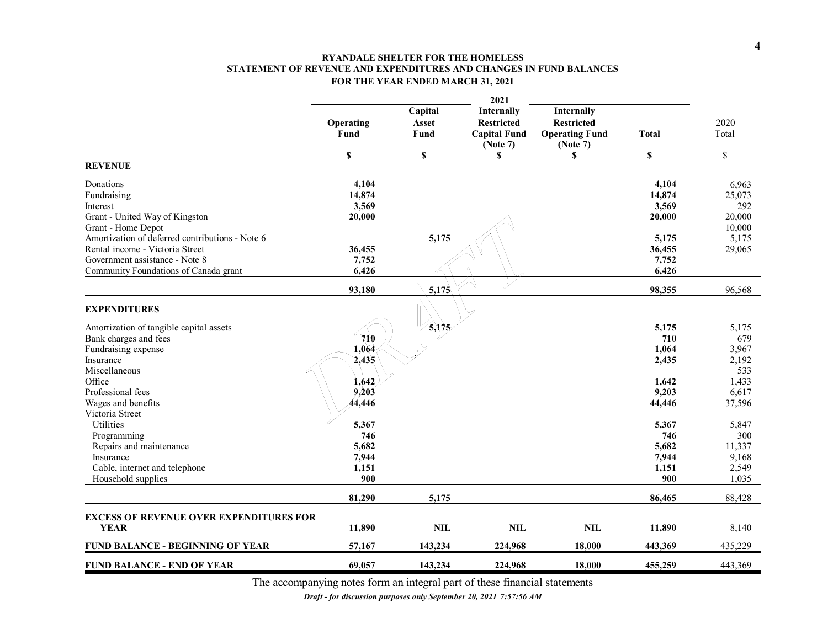#### **RYANDALE SHELTER FOR THE HOMELESS STATEMENT OF REVENUE AND EXPENDITURES AND CHANGES IN FUND BALANCES FOR THE YEAR ENDED MARCH 31, 2021**

|                                                                                                                                                                                                                                                               |                                                                |                                | 2021                                                                            |                                                                           |                                                                         |                                                               |
|---------------------------------------------------------------------------------------------------------------------------------------------------------------------------------------------------------------------------------------------------------------|----------------------------------------------------------------|--------------------------------|---------------------------------------------------------------------------------|---------------------------------------------------------------------------|-------------------------------------------------------------------------|---------------------------------------------------------------|
|                                                                                                                                                                                                                                                               | Operating<br>Fund<br>$\mathbb S$                               | Capital<br>Asset<br>Fund<br>\$ | <b>Internally</b><br><b>Restricted</b><br><b>Capital Fund</b><br>(Note 7)<br>\$ | Internally<br><b>Restricted</b><br><b>Operating Fund</b><br>(Note 7)<br>S | <b>Total</b><br>\$                                                      | 2020<br>Total<br>\$                                           |
| <b>REVENUE</b>                                                                                                                                                                                                                                                |                                                                |                                |                                                                                 |                                                                           |                                                                         |                                                               |
| Donations<br>Fundraising<br>Interest<br>Grant - United Way of Kingston<br>Grant - Home Depot<br>Amortization of deferred contributions - Note 6<br>Rental income - Victoria Street<br>Government assistance - Note 8<br>Community Foundations of Canada grant | 4,104<br>14,874<br>3,569<br>20,000<br>36,455<br>7,752<br>6,426 | 5,175                          |                                                                                 |                                                                           | 4,104<br>14,874<br>3,569<br>20,000<br>5,175<br>36,455<br>7,752<br>6,426 | 6,963<br>25,073<br>292<br>20,000<br>10,000<br>5,175<br>29,065 |
|                                                                                                                                                                                                                                                               | 93,180                                                         | 5,175                          |                                                                                 |                                                                           | 98,355                                                                  | 96,568                                                        |
| <b>EXPENDITURES</b><br>Amortization of tangible capital assets<br>Bank charges and fees<br>Fundraising expense                                                                                                                                                | $\gamma_{10}$<br>1,064                                         | 5,175                          |                                                                                 |                                                                           | 5,175<br>710<br>1,064                                                   | 5,175<br>679<br>3,967                                         |
| Insurance<br>Miscellaneous<br>Office<br>Professional fees                                                                                                                                                                                                     | 2,435<br>1,642<br>9,203<br>44,446                              |                                |                                                                                 |                                                                           | 2,435<br>1.642<br>9,203                                                 | 2,192<br>533<br>1,433<br>6,617                                |
| Wages and benefits<br>Victoria Street<br>Utilities<br>Programming<br>Repairs and maintenance<br>Insurance<br>Cable, internet and telephone<br>Household supplies                                                                                              | 5,367<br>746<br>5,682<br>7,944<br>1,151<br>900                 |                                |                                                                                 |                                                                           | 44,446<br>5,367<br>746<br>5,682<br>7,944<br>1,151<br>900                | 37,596<br>5,847<br>300<br>11,337<br>9,168<br>2,549<br>1,035   |
|                                                                                                                                                                                                                                                               | 81,290                                                         | 5,175                          |                                                                                 |                                                                           | 86,465                                                                  | 88,428                                                        |
|                                                                                                                                                                                                                                                               |                                                                |                                |                                                                                 |                                                                           |                                                                         |                                                               |
| <b>EXCESS OF REVENUE OVER EXPENDITURES FOR</b><br><b>YEAR</b>                                                                                                                                                                                                 | 11,890                                                         | <b>NIL</b>                     | <b>NIL</b>                                                                      | $\mathbf{NIL}$                                                            | 11,890                                                                  | 8,140                                                         |
| FUND BALANCE - BEGINNING OF YEAR                                                                                                                                                                                                                              | 57,167                                                         | 143,234                        | 224,968                                                                         | 18,000                                                                    | 443,369                                                                 | 435,229                                                       |
| <b>FUND BALANCE - END OF YEAR</b>                                                                                                                                                                                                                             | 69.057                                                         | 143,234                        | 224,968                                                                         | 18.000                                                                    | 455,259                                                                 | 443.369                                                       |

The accompanying notes form an integral part of these financial statements

*Draft - for discussion purposes only September 20, 2021 7:57:56 AM*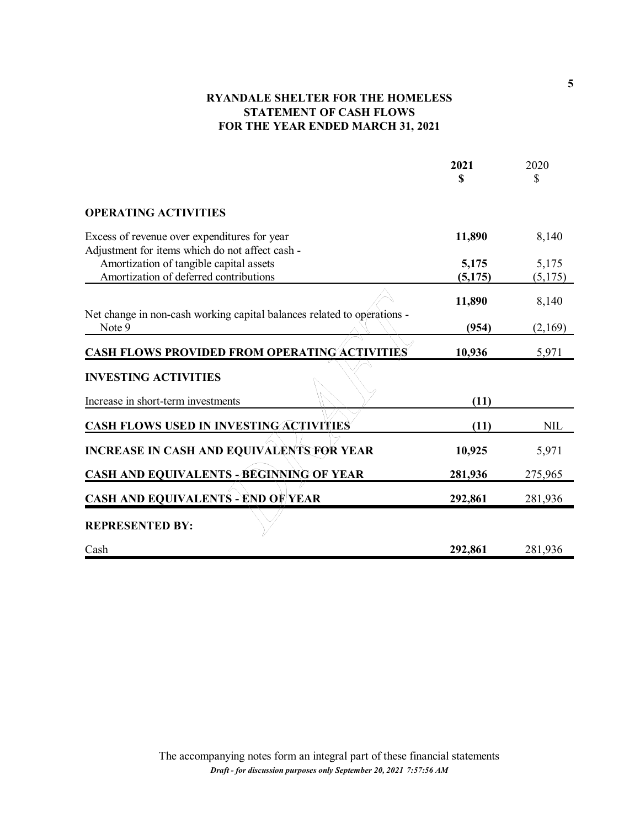# **RYANDALE SHELTER FOR THE HOMELESS STATEMENT OF CASH FLOWS FOR THE YEAR ENDED MARCH 31, 2021**

|                                                                                   | 2021    | 2020       |
|-----------------------------------------------------------------------------------|---------|------------|
|                                                                                   | S       | S          |
| <b>OPERATING ACTIVITIES</b>                                                       |         |            |
| Excess of revenue over expenditures for year                                      | 11,890  | 8,140      |
| Adjustment for items which do not affect cash -                                   |         |            |
| Amortization of tangible capital assets                                           | 5,175   | 5,175      |
| Amortization of deferred contributions                                            | (5,175) | (5,175)    |
|                                                                                   | 11,890  | 8,140      |
| Net change in non-cash working capital balances related to operations -<br>Note 9 | (954)   | (2,169)    |
| <b>CASH FLOWS PROVIDED FROM OPERATING ACTIVITIES</b>                              | 10,936  | 5,971      |
| <b>INVESTING ACTIVITIES</b>                                                       |         |            |
| Increase in short-term investments                                                | (11)    |            |
| <b>CASH FLOWS USED IN INVESTING ACTIVITIES</b>                                    | (11)    | <b>NIL</b> |
| <b>INCREASE IN CASH AND EQUIVALENTS FOR YEAR</b>                                  | 10,925  | 5,971      |
| <b>CASH AND EQUIVALENTS - BEGINNING OF YEAR</b>                                   | 281,936 | 275,965    |
| <b>CASH AND EQUIVALENTS - END OF YEAR</b>                                         | 292,861 | 281,936    |
| <b>REPRESENTED BY:</b>                                                            |         |            |
| Cash                                                                              | 292,861 | 281,936    |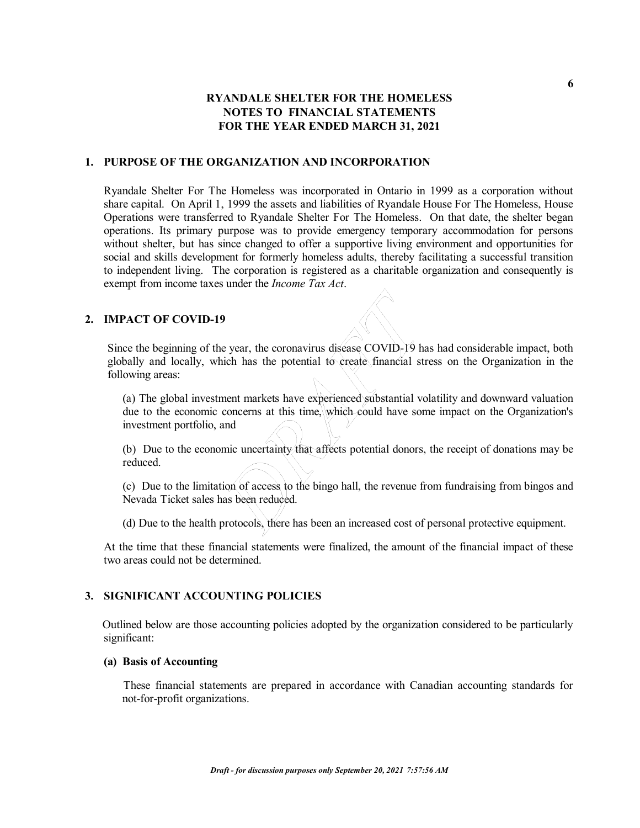## **1. PURPOSE OF THE ORGANIZATION AND INCORPORATION**

Ryandale Shelter For The Homeless was incorporated in Ontario in 1999 as a corporation without share capital. On April 1, 1999 the assets and liabilities of Ryandale House For The Homeless, House Operations were transferred to Ryandale Shelter For The Homeless. On that date, the shelter began operations. Its primary purpose was to provide emergency temporary accommodation for persons without shelter, but has since changed to offer a supportive living environment and opportunities for social and skills development for formerly homeless adults, thereby facilitating a successful transition to independent living. The corporation is registered as a charitable organization and consequently is exempt from income taxes under the *Income Tax Act*.

# **2. IMPACT OF COVID-19**

Since the beginning of the year, the coronavirus disease COVID-19 has had considerable impact, both globally and locally, which has the potential to create financial stress on the Organization in the following areas:

(a) The global investment markets have experienced substantial volatility and downward valuation due to the economic concerns at this time, which could have some impact on the Organization's investment portfolio, and

(b) Due to the economic uncertainty that affects potential donors, the receipt of donations may be reduced.

(c) Due to the limitation of access to the bingo hall, the revenue from fundraising from bingos and Nevada Ticket sales has been reduced.

(d) Due to the health protocols, there has been an increased cost of personal protective equipment.

At the time that these financial statements were finalized, the amount of the financial impact of these two areas could not be determined.

#### **3. SIGNIFICANT ACCOUNTING POLICIES**

Outlined below are those accounting policies adopted by the organization considered to be particularly significant:

#### **(a) Basis of Accounting**

These financial statements are prepared in accordance with Canadian accounting standards for not-for-profit organizations.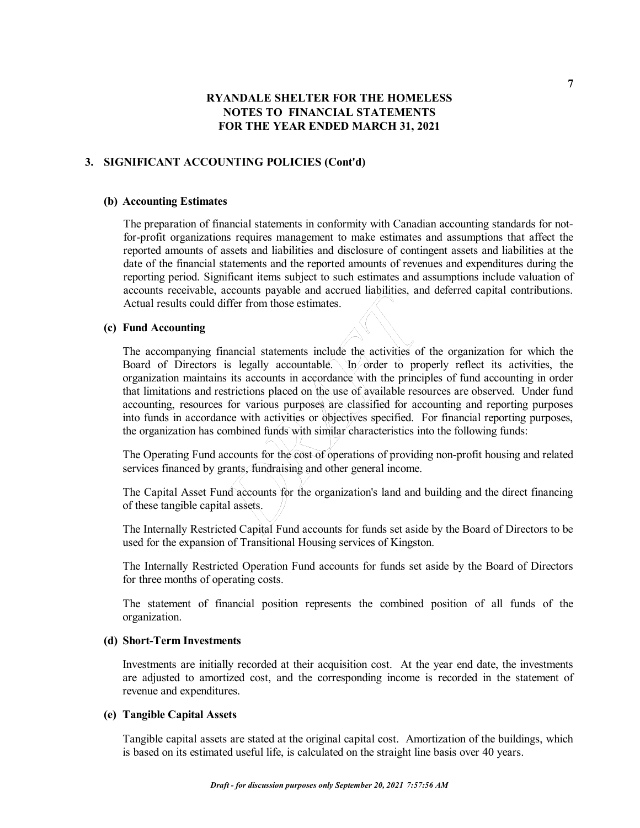### **3. SIGNIFICANT ACCOUNTING POLICIES (Cont'd)**

#### **(b) Accounting Estimates**

The preparation of financial statements in conformity with Canadian accounting standards for notfor-profit organizations requires management to make estimates and assumptions that affect the reported amounts of assets and liabilities and disclosure of contingent assets and liabilities at the date of the financial statements and the reported amounts of revenues and expenditures during the reporting period. Significant items subject to such estimates and assumptions include valuation of accounts receivable, accounts payable and accrued liabilities, and deferred capital contributions. Actual results could differ from those estimates.

### **(c) Fund Accounting**

The accompanying financial statements include the activities of the organization for which the Board of Directors is legally accountable. In order to properly reflect its activities, the organization maintains its accounts in accordance with the principles of fund accounting in order that limitations and restrictions placed on the use of available resources are observed. Under fund accounting, resources for various purposes are classified for accounting and reporting purposes into funds in accordance with activities or objectives specified. For financial reporting purposes, the organization has combined funds with similar characteristics into the following funds:

The Operating Fund accounts for the cost of operations of providing non-profit housing and related services financed by grants, fundraising and other general income.

The Capital Asset Fund accounts for the organization's land and building and the direct financing of these tangible capital assets.

The Internally Restricted Capital Fund accounts for funds set aside by the Board of Directors to be used for the expansion of Transitional Housing services of Kingston.

The Internally Restricted Operation Fund accounts for funds set aside by the Board of Directors for three months of operating costs.

The statement of financial position represents the combined position of all funds of the organization.

#### **(d) Short-Term Investments**

Investments are initially recorded at their acquisition cost. At the year end date, the investments are adjusted to amortized cost, and the corresponding income is recorded in the statement of revenue and expenditures.

#### **(e) Tangible Capital Assets**

Tangible capital assets are stated at the original capital cost. Amortization of the buildings, which is based on its estimated useful life, is calculated on the straight line basis over 40 years.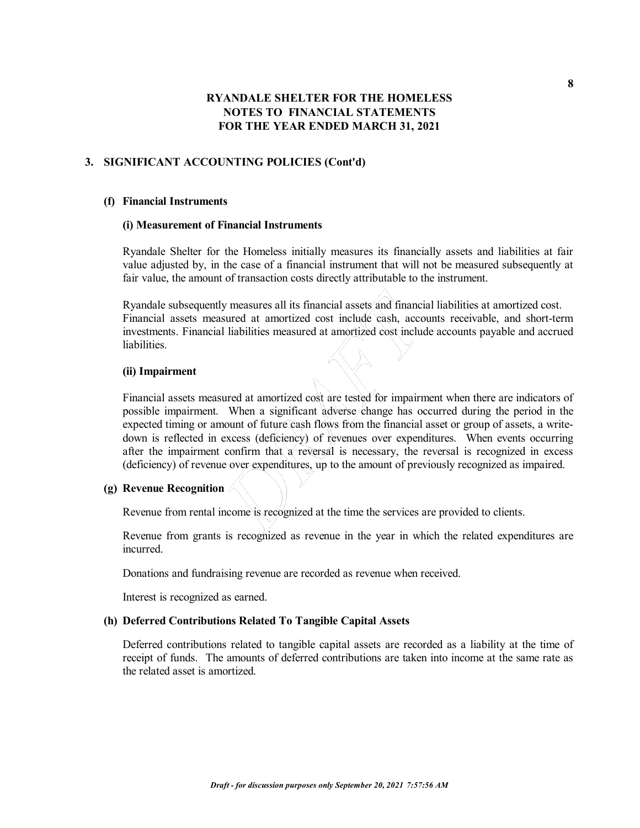### **3. SIGNIFICANT ACCOUNTING POLICIES (Cont'd)**

#### **(f) Financial Instruments**

#### **(i) Measurement of Financial Instruments**

Ryandale Shelter for the Homeless initially measures its financially assets and liabilities at fair value adjusted by, in the case of a financial instrument that will not be measured subsequently at fair value, the amount of transaction costs directly attributable to the instrument.

Ryandale subsequently measures all its financial assets and financial liabilities at amortized cost. Financial assets measured at amortized cost include cash, accounts receivable, and short-term investments. Financial liabilities measured at amortized cost include accounts payable and accrued liabilities.

#### **(ii) Impairment**

Financial assets measured at amortized cost are tested for impairment when there are indicators of possible impairment. When a significant adverse change has occurred during the period in the expected timing or amount of future cash flows from the financial asset or group of assets, a writedown is reflected in excess (deficiency) of revenues over expenditures. When events occurring after the impairment confirm that a reversal is necessary, the reversal is recognized in excess (deficiency) of revenue over expenditures, up to the amount of previously recognized as impaired.

### **(g) Revenue Recognition**

Revenue from rental income is recognized at the time the services are provided to clients.

Revenue from grants is recognized as revenue in the year in which the related expenditures are incurred.

Donations and fundraising revenue are recorded as revenue when received.

Interest is recognized as earned.

### **(h) Deferred Contributions Related To Tangible Capital Assets**

Deferred contributions related to tangible capital assets are recorded as a liability at the time of receipt of funds. The amounts of deferred contributions are taken into income at the same rate as the related asset is amortized.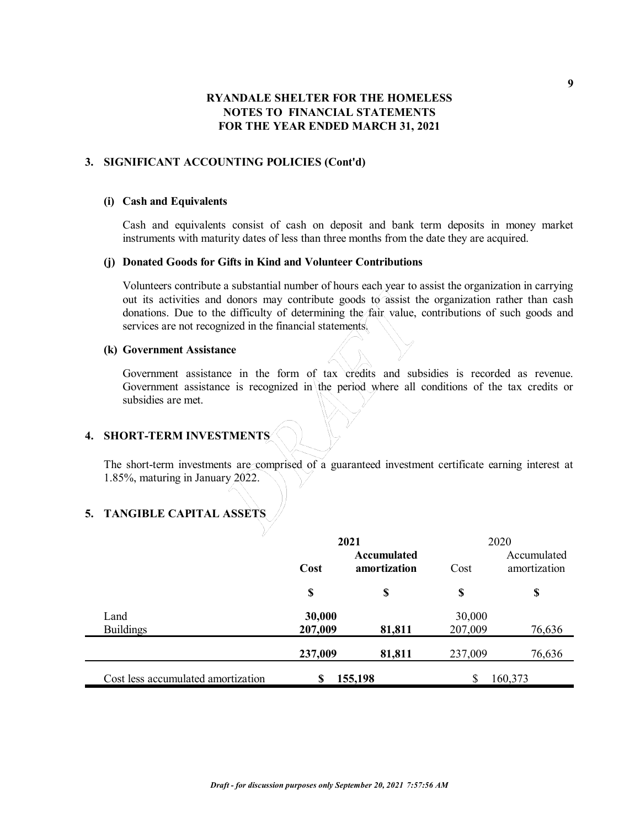## **3. SIGNIFICANT ACCOUNTING POLICIES (Cont'd)**

#### **(i) Cash and Equivalents**

Cash and equivalents consist of cash on deposit and bank term deposits in money market instruments with maturity dates of less than three months from the date they are acquired.

#### **(j) Donated Goods for Gifts in Kind and Volunteer Contributions**

Volunteers contribute a substantial number of hours each year to assist the organization in carrying out its activities and donors may contribute goods to assist the organization rather than cash donations. Due to the difficulty of determining the fair value, contributions of such goods and services are not recognized in the financial statements.

#### **(k) Government Assistance**

Government assistance in the form of tax credits and subsidies is recorded as revenue. Government assistance is recognized in the period where all conditions of the tax credits or subsidies are met.

# **4. SHORT-TERM INVESTMENTS**

The short-term investments are comprised of a guaranteed investment certificate earning interest at 1.85%, maturing in January  $2022$ .

# **5. TANGIBLE CAPITAL ASSETS**

| ✓                                  |         | 2021                        |         | 2020                        |
|------------------------------------|---------|-----------------------------|---------|-----------------------------|
|                                    | Cost    | Accumulated<br>amortization | Cost    | Accumulated<br>amortization |
|                                    | \$      | \$                          | \$      | \$                          |
| Land                               | 30,000  |                             | 30,000  |                             |
| <b>Buildings</b>                   | 207,009 | 81,811                      | 207,009 | 76,636                      |
|                                    | 237,009 | 81,811                      | 237,009 | 76,636                      |
| Cost less accumulated amortization | \$      | 155,198                     |         | 160,373                     |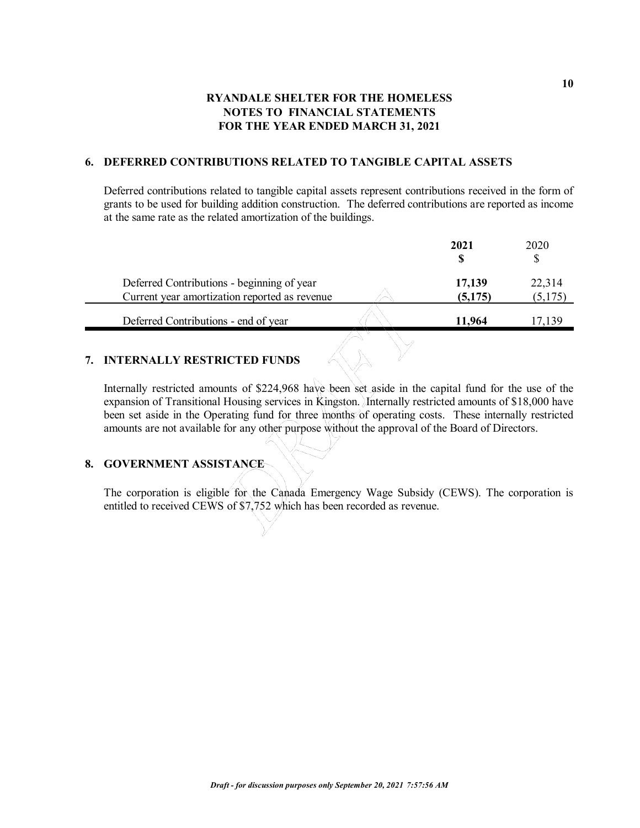### **6. DEFERRED CONTRIBUTIONS RELATED TO TANGIBLE CAPITAL ASSETS**

Deferred contributions related to tangible capital assets represent contributions received in the form of grants to be used for building addition construction. The deferred contributions are reported as income at the same rate as the related amortization of the buildings.

| Deferred Contributions - beginning of year<br>17,139 | 2020                          |
|------------------------------------------------------|-------------------------------|
| Current year amortization reported as revenue        | 22,314<br>(5, 175)<br>(5,175) |
| Deferred Contributions - end of year<br>11.964       | 17,139                        |

### **7. INTERNALLY RESTRICTED FUNDS**

Internally restricted amounts of \$224,968 have been set aside in the capital fund for the use of the expansion of Transitional Housing services in Kingston. Internally restricted amounts of \$18,000 have been set aside in the Operating fund for three months of operating costs. These internally restricted amounts are not available for any other purpose without the approval of the Board of Directors.

### **8. GOVERNMENT ASSISTANCE**

The corporation is eligible for the Canada Emergency Wage Subsidy (CEWS). The corporation is entitled to received CEWS of \$7,752 which has been recorded as revenue.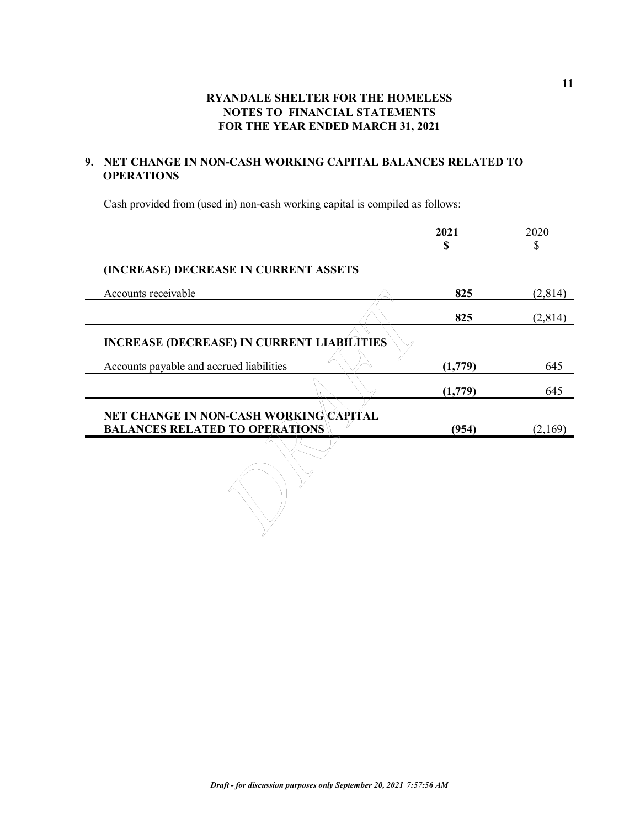# **9. NET CHANGE IN NON-CASH WORKING CAPITAL BALANCES RELATED TO OPERATIONS**

Cash provided from (used in) non-cash working capital is compiled as follows:

|                                                                                 | 2021<br>\$ | 2020<br>S |
|---------------------------------------------------------------------------------|------------|-----------|
| (INCREASE) DECREASE IN CURRENT ASSETS                                           |            |           |
| Accounts receivable                                                             | 825        | (2,814)   |
|                                                                                 | 825        | (2,814)   |
| <b>INCREASE (DECREASE) IN CURRENT LIABILITIES</b>                               |            |           |
| Accounts payable and accrued liabilities                                        | (1,779)    | 645       |
|                                                                                 | (1,779)    | 645       |
| NET CHANGE IN NON-CASH WORKING\CAPITAL<br><b>BALANCES RELATED TO OPERATIONS</b> | (954)      | (2,169)   |
|                                                                                 |            |           |